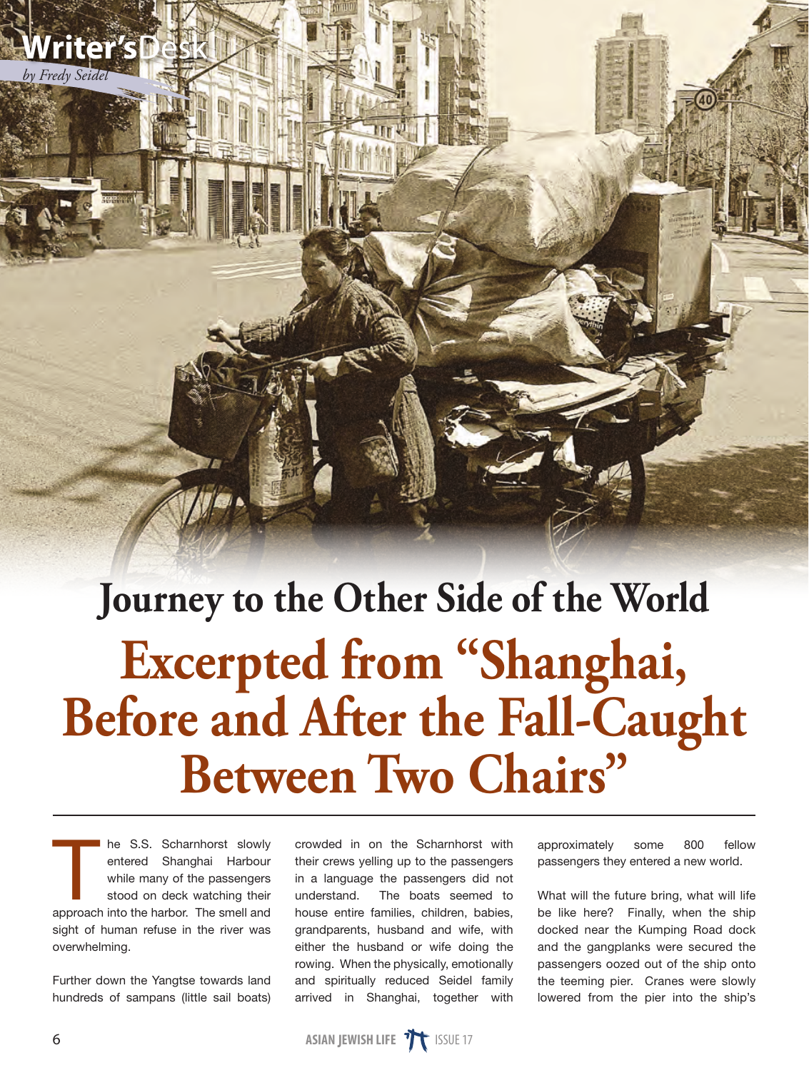## **Journey to the Other Side of the World Excerpted from "Shanghai, Before and After the Fall-Caught Between Two Chairs"**

The S.S. Scharnhorst slowly<br>entered Shanghai Harbour<br>while many of the passengers<br>stood on deck watching their<br>approach into the barbor. The small and entered Shanghai Harbour while many of the passengers stood on deck watching their approach into the harbor. The smell and sight of human refuse in the river was overwhelming.

Further down the Yangtse towards land hundreds of sampans (little sail boats) crowded in on the Scharnhorst with their crews yelling up to the passengers in a language the passengers did not understand. The boats seemed to house entire families, children, babies, grandparents, husband and wife, with either the husband or wife doing the rowing. When the physically, emotionally and spiritually reduced Seidel family arrived in Shanghai, together with

approximately some 800 fellow passengers they entered a new world.

What will the future bring, what will life be like here? Finally, when the ship docked near the Kumping Road dock and the gangplanks were secured the passengers oozed out of the ship onto the teeming pier. Cranes were slowly lowered from the pier into the ship's



*by Fredy Seidel*

**Writer's**Desk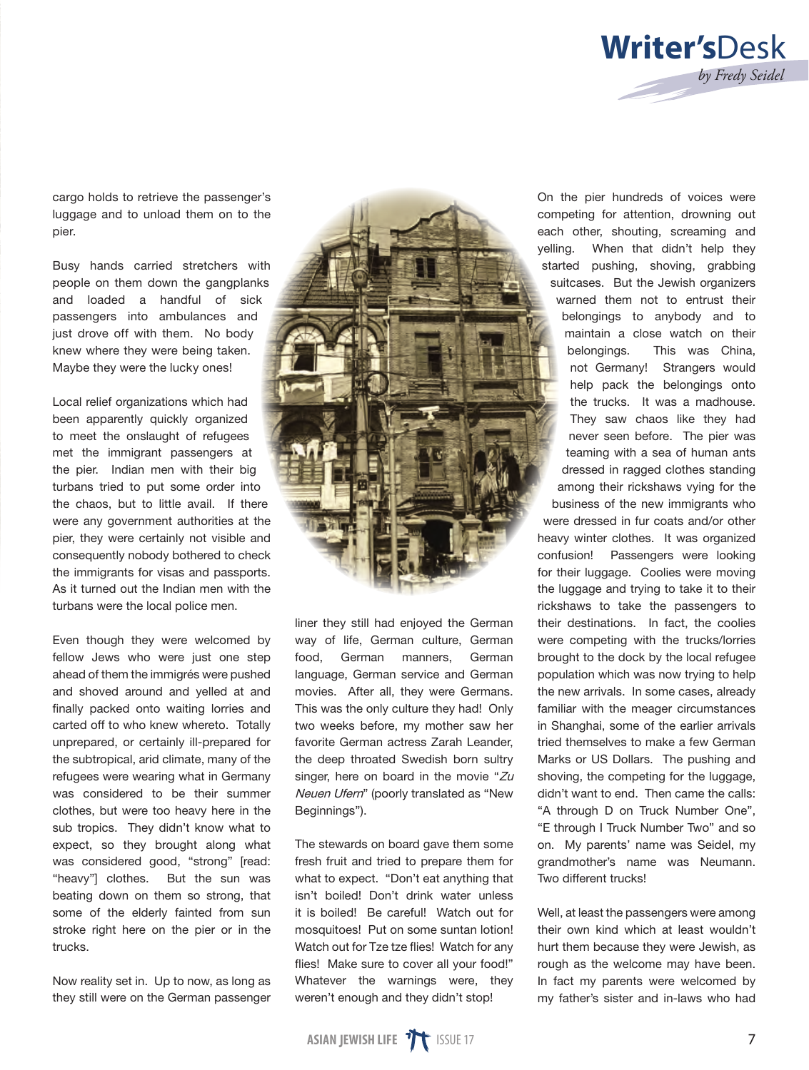

cargo holds to retrieve the passenger's luggage and to unload them on to the pier.

Busy hands carried stretchers with people on them down the gangplanks and loaded a handful of sick passengers into ambulances and just drove off with them. No body knew where they were being taken. Maybe they were the lucky ones!

Local relief organizations which had been apparently quickly organized to meet the onslaught of refugees met the immigrant passengers at the pier. Indian men with their big turbans tried to put some order into the chaos, but to little avail. If there were any government authorities at the pier, they were certainly not visible and consequently nobody bothered to check the immigrants for visas and passports. As it turned out the Indian men with the turbans were the local police men.

Even though they were welcomed by fellow Jews who were just one step ahead of them the immigrés were pushed and shoved around and yelled at and finally packed onto waiting lorries and carted off to who knew whereto. Totally unprepared, or certainly ill-prepared for the subtropical, arid climate, many of the refugees were wearing what in Germany was considered to be their summer clothes, but were too heavy here in the sub tropics. They didn't know what to expect, so they brought along what was considered good, "strong" [read: "heavy"] clothes. But the sun was beating down on them so strong, that some of the elderly fainted from sun stroke right here on the pier or in the trucks.

Now reality set in. Up to now, as long as they still were on the German passenger



liner they still had enjoyed the German way of life, German culture, German food, German manners, German language, German service and German movies. After all, they were Germans. This was the only culture they had! Only two weeks before, my mother saw her favorite German actress Zarah Leander, the deep throated Swedish born sultry singer, here on board in the movie "Zu Neuen Ufern" (poorly translated as "New Beginnings").

The stewards on board gave them some fresh fruit and tried to prepare them for what to expect. "Don't eat anything that isn't boiled! Don't drink water unless it is boiled! Be careful! Watch out for mosquitoes! Put on some suntan lotion! Watch out for Tze tze flies! Watch for any flies! Make sure to cover all your food!" Whatever the warnings were, they weren't enough and they didn't stop!

On the pier hundreds of voices were competing for attention, drowning out each other, shouting, screaming and yelling. When that didn't help they started pushing, shoving, grabbing suitcases. But the Jewish organizers warned them not to entrust their belongings to anybody and to maintain a close watch on their belongings. This was China, not Germany! Strangers would help pack the belongings onto the trucks. It was a madhouse. They saw chaos like they had never seen before. The pier was teaming with a sea of human ants dressed in ragged clothes standing among their rickshaws vying for the business of the new immigrants who were dressed in fur coats and/or other heavy winter clothes. It was organized confusion! Passengers were looking for their luggage. Coolies were moving the luggage and trying to take it to their rickshaws to take the passengers to their destinations. In fact, the coolies were competing with the trucks/lorries brought to the dock by the local refugee population which was now trying to help the new arrivals. In some cases, already familiar with the meager circumstances in Shanghai, some of the earlier arrivals tried themselves to make a few German Marks or US Dollars. The pushing and shoving, the competing for the luggage, didn't want to end. Then came the calls: "A through D on Truck Number One", "E through I Truck Number Two" and so on. My parents' name was Seidel, my grandmother's name was Neumann. Two different trucks!

Well, at least the passengers were among their own kind which at least wouldn't hurt them because they were Jewish, as rough as the welcome may have been. In fact my parents were welcomed by my father's sister and in-laws who had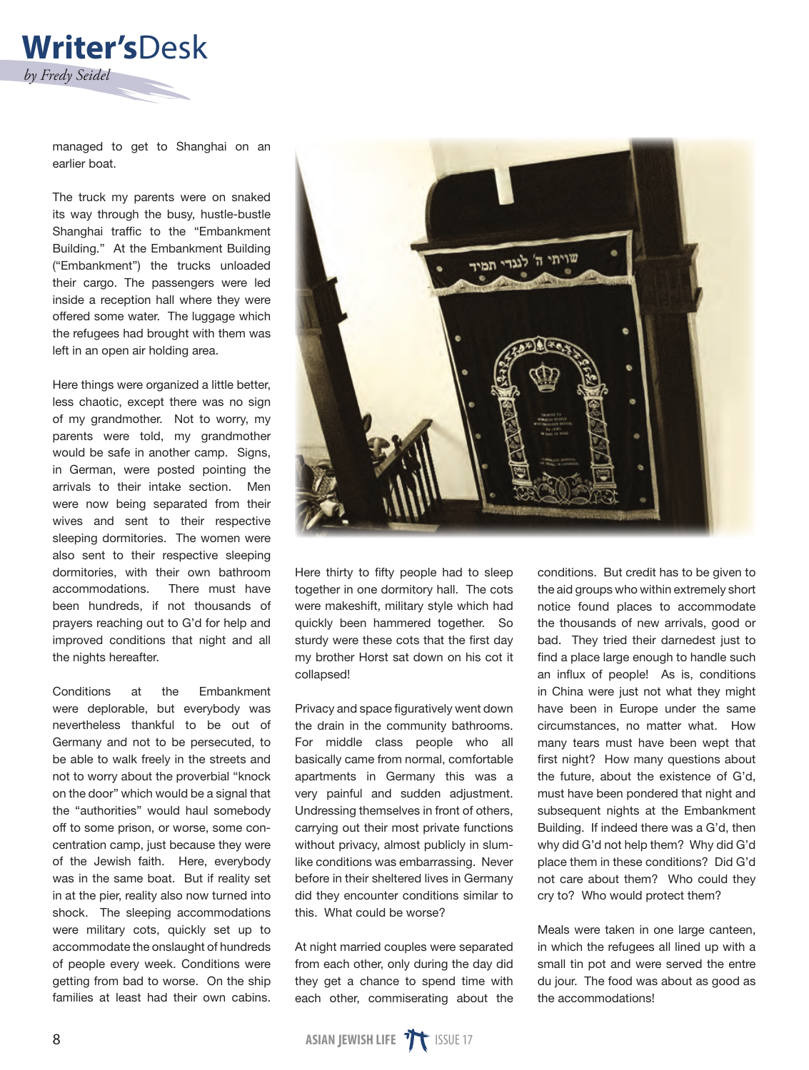

managed to get to Shanghai on an earlier boat.

The truck my parents were on snaked its way through the busy, hustle-bustle Shanghai traffic to the "Embankment Building." At the Embankment Building ("Embankment") the trucks unloaded their cargo. The passengers were led inside a reception hall where they were offered some water. The luggage which the refugees had brought with them was left in an open air holding area.

Here things were organized a little better, less chaotic, except there was no sign of my grandmother. Not to worry, my parents were told, my grandmother would be safe in another camp. Signs, in German, were posted pointing the arrivals to their intake section. Men were now being separated from their wives and sent to their respective sleeping dormitories. The women were also sent to their respective sleeping dormitories, with their own bathroom accommodations. There must have been hundreds, if not thousands of prayers reaching out to G'd for help and improved conditions that night and all the nights hereafter.

Conditions at the Embankment were deplorable, but everybody was nevertheless thankful to be out of Germany and not to be persecuted, to be able to walk freely in the streets and not to worry about the proverbial "knock on the door" which would be a signal that the "authorities" would haul somebody off to some prison, or worse, some concentration camp, just because they were of the Jewish faith. Here, everybody was in the same boat. But if reality set in at the pier, reality also now turned into shock. The sleeping accommodations were military cots, quickly set up to accommodate the onslaught of hundreds of people every week. Conditions were getting from bad to worse. On the ship families at least had their own cabins.



Here thirty to fifty people had to sleep together in one dormitory hall. The cots were makeshift, military style which had quickly been hammered together. So sturdy were these cots that the first day my brother Horst sat down on his cot it collapsed!

Privacy and space figuratively went down the drain in the community bathrooms. For middle class people who all basically came from normal, comfortable apartments in Germany this was a very painful and sudden adjustment. Undressing themselves in front of others, carrying out their most private functions without privacy, almost publicly in slumlike conditions was embarrassing. Never before in their sheltered lives in Germany did they encounter conditions similar to this. What could be worse?

At night married couples were separated from each other, only during the day did they get a chance to spend time with each other, commiserating about the

conditions. But credit has to be given to the aid groups who within extremely short notice found places to accommodate the thousands of new arrivals, good or bad. They tried their darnedest just to find a place large enough to handle such an influx of people! As is, conditions in China were just not what they might have been in Europe under the same circumstances, no matter what. How many tears must have been wept that first night? How many questions about the future, about the existence of G'd, must have been pondered that night and subsequent nights at the Embankment Building. If indeed there was a G'd, then why did G'd not help them? Why did G'd place them in these conditions? Did G'd not care about them? Who could they cry to? Who would protect them?

Meals were taken in one large canteen, in which the refugees all lined up with a small tin pot and were served the entre du jour. The food was about as good as the accommodations!

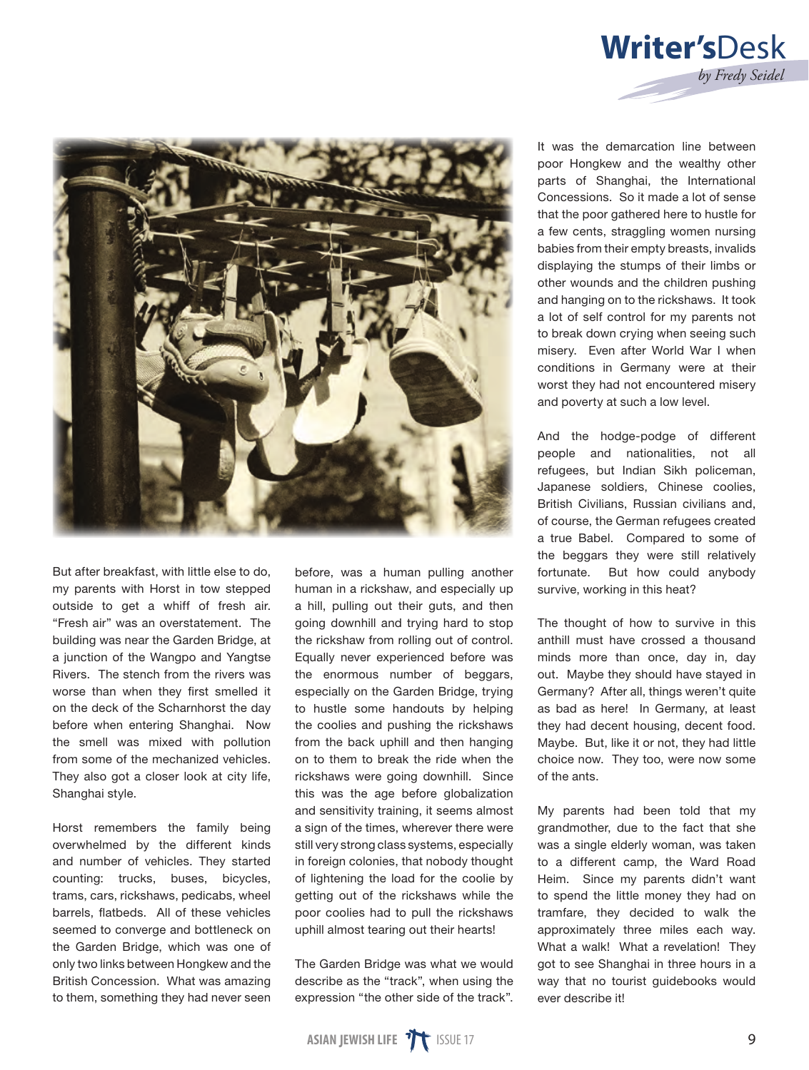

But after breakfast, with little else to do, my parents with Horst in tow stepped outside to get a whiff of fresh air. "Fresh air" was an overstatement. The building was near the Garden Bridge, at a junction of the Wangpo and Yangtse Rivers. The stench from the rivers was worse than when they first smelled it on the deck of the Scharnhorst the day before when entering Shanghai. Now the smell was mixed with pollution from some of the mechanized vehicles. They also got a closer look at city life, Shanghai style.

Horst remembers the family being overwhelmed by the different kinds and number of vehicles. They started counting: trucks, buses, bicycles, trams, cars, rickshaws, pedicabs, wheel barrels, flatbeds. All of these vehicles seemed to converge and bottleneck on the Garden Bridge, which was one of only two links between Hongkew and the British Concession. What was amazing to them, something they had never seen before, was a human pulling another human in a rickshaw, and especially up a hill, pulling out their guts, and then going downhill and trying hard to stop the rickshaw from rolling out of control. Equally never experienced before was the enormous number of beggars, especially on the Garden Bridge, trying to hustle some handouts by helping the coolies and pushing the rickshaws from the back uphill and then hanging on to them to break the ride when the rickshaws were going downhill. Since this was the age before globalization and sensitivity training, it seems almost a sign of the times, wherever there were still very strong class systems, especially in foreign colonies, that nobody thought of lightening the load for the coolie by getting out of the rickshaws while the poor coolies had to pull the rickshaws uphill almost tearing out their hearts!

The Garden Bridge was what we would describe as the "track", when using the expression "the other side of the track".

It was the demarcation line between poor Hongkew and the wealthy other parts of Shanghai, the International Concessions. So it made a lot of sense that the poor gathered here to hustle for a few cents, straggling women nursing babies from their empty breasts, invalids displaying the stumps of their limbs or other wounds and the children pushing and hanging on to the rickshaws. It took a lot of self control for my parents not to break down crying when seeing such misery. Even after World War I when conditions in Germany were at their worst they had not encountered misery and poverty at such a low level.

**Writer's**Desk

*by Fredy Seidel*

And the hodge-podge of different people and nationalities, not all refugees, but Indian Sikh policeman, Japanese soldiers, Chinese coolies, British Civilians, Russian civilians and, of course, the German refugees created a true Babel. Compared to some of the beggars they were still relatively fortunate. But how could anybody survive, working in this heat?

The thought of how to survive in this anthill must have crossed a thousand minds more than once, day in, day out. Maybe they should have stayed in Germany? After all, things weren't quite as bad as here! In Germany, at least they had decent housing, decent food. Maybe. But, like it or not, they had little choice now. They too, were now some of the ants.

My parents had been told that my grandmother, due to the fact that she was a single elderly woman, was taken to a different camp, the Ward Road Heim. Since my parents didn't want to spend the little money they had on tramfare, they decided to walk the approximately three miles each way. What a walk! What a revelation! They got to see Shanghai in three hours in a way that no tourist guidebooks would ever describe it!